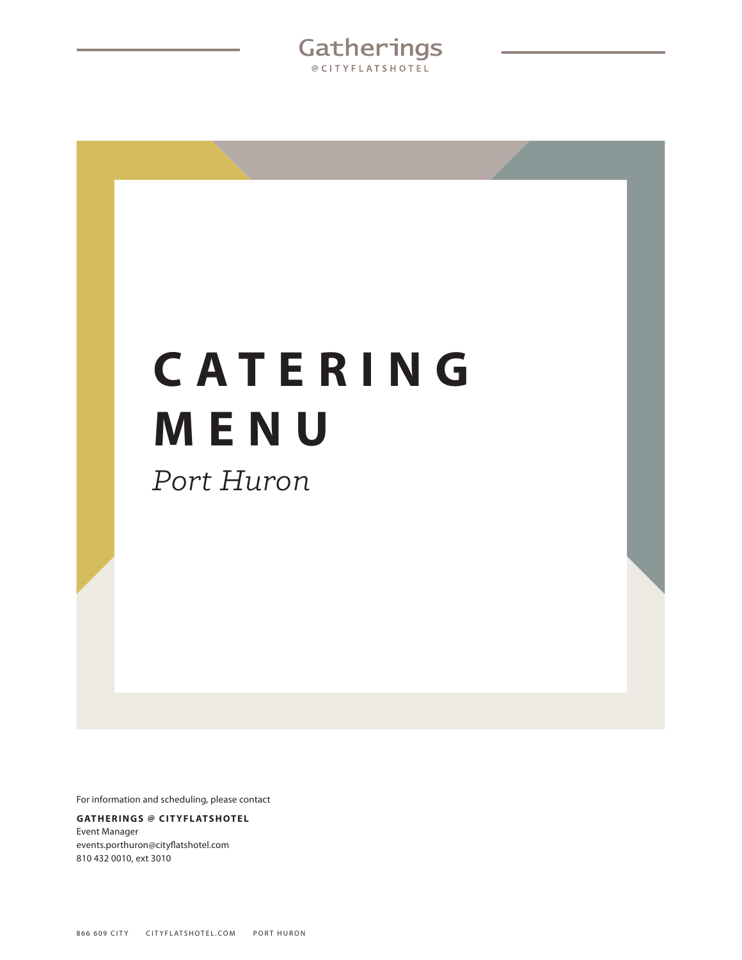Gatherings @CITYFLATSHOTEL

# **C A T E R I N G MENU** *Port Huron*

For information and scheduling, please contact

### **GATHERINGS @ CITYFLATSHOTEL** Event Manager events.porthuron@cityflatshotel.com 810 432 0010, ext 3010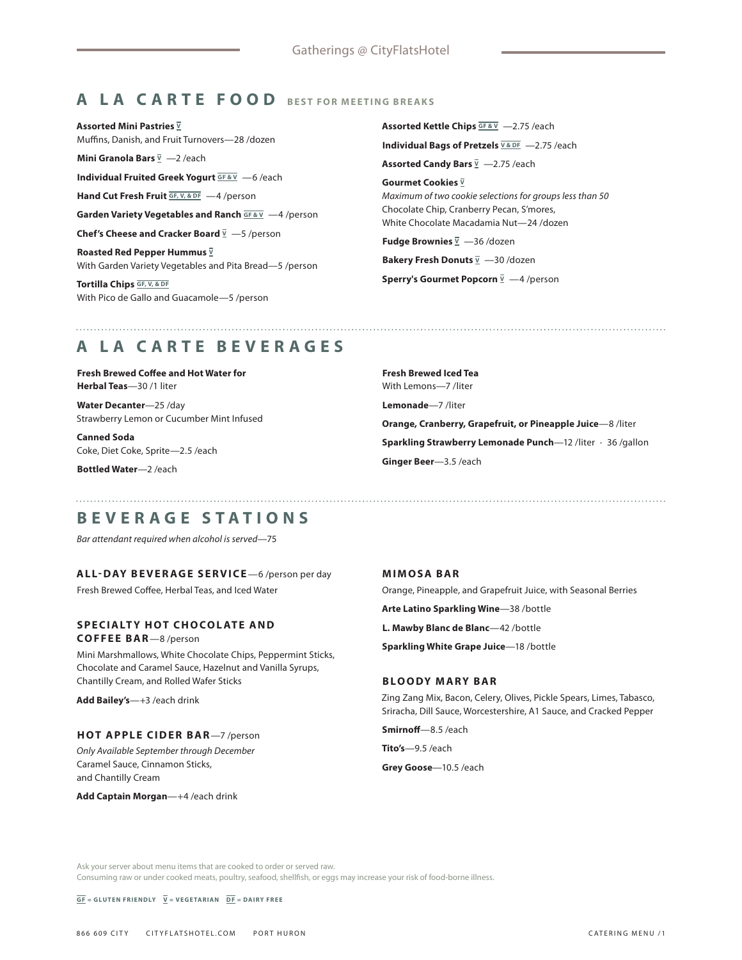# **A LA CARTE FOOD BEST FOR MEETING BREAKS**

**Assorted Mini Pastries V** Muffins, Danish, and Fruit Turnovers—28 /dozen

**Mini Granola Bars**  $\overline{V}$  **-2/each** 

**Individual Fruited Greek Yogurt <b>GF&V** —6/each

**Hand Cut Fresh Fruit GF, V, & DF** —4 /person

**Garden Variety Vegetables and Ranch <b>GF & V** — 4 /person

**Chef's Cheese and Cracker Board** <u>V</u> −5 /person

**Roasted Red Pepper Hummus**  $\overline{y}$ With Garden Variety Vegetables and Pita Bread—5 /person

**Tortilla Chips GF, V, & DF** With Pico de Gallo and Guacamole—5 /person Assorted Kettle Chips **GF & V** -2.75 /each **Individual Bags of Pretzels**  $\overline{V \& D F}$  -2.75 /each **Assorted Candy Bars**  $\overline{V}$  -2.75 /each **Gourmet Cookies**  $\overline{v}$ 

*Maximum of two cookie selections for groups less than 50* Chocolate Chip, Cranberry Pecan, S'mores, White Chocolate Macadamia Nut—24 /dozen

**Fudge Brownies**  $\overline{y}$  -36 /dozen

**Bakery Fresh Donuts**  $\overline{V}$  -30 /dozen

**Sperry's Gourmet Popcorn**  $\overline{Y}$  -4/person

# **A LA CARTE BEVERAGES**

**Fresh Brewed Coffee and Hot Water for Herbal Teas**—30 /1 liter

**Water Decanter**—25 /day Strawberry Lemon or Cucumber Mint Infused

**Canned Soda** Coke, Diet Coke, Sprite—2.5 /each

**Bottled Water**—2 /each

**Fresh Brewed Iced Tea** With Lemons—7 /liter **Lemonade**—7 /liter **Orange, Cranberry, Grapefruit, or Pineapple Juice**—8 /liter **Sparkling Strawberry Lemonade Punch**—12 /liter · 36 /gallon **Ginger Beer**—3.5 /each

# **BEVERAGE STATIONS**

*Bar attendant required when alcohol is served*—75

### **ALL-DAY BEVERAGE SERVICE**—6 /person per day

Fresh Brewed Coffee, Herbal Teas, and Iced Water

## **SPECIALTY HOT CHOCOLATE AND**

**COFFEE BAR**—8 /person

Mini Marshmallows, White Chocolate Chips, Peppermint Sticks, Chocolate and Caramel Sauce, Hazelnut and Vanilla Syrups, Chantilly Cream, and Rolled Wafer Sticks

**Add Bailey's**—+3 /each drink

### **HOT APPLE CIDER BAR**—7 /person

*Only Available September through December* Caramel Sauce, Cinnamon Sticks, and Chantilly Cream

**Add Captain Morgan**—+4 /each drink

### **MIMOSA BAR**

Orange, Pineapple, and Grapefruit Juice, with Seasonal Berries **Arte Latino Sparkling Wine**—38 /bottle **L. Mawby Blanc de Blanc**—42 /bottle **Sparkling White Grape Juice**—18 /bottle

### **BLOODY MARY BAR**

Zing Zang Mix, Bacon, Celery, Olives, Pickle Spears, Limes, Tabasco, Sriracha, Dill Sauce, Worcestershire, A1 Sauce, and Cracked Pepper

**Smirnoff**—8.5 /each

**Tito's**—9.5 /each

**Grey Goose**—10.5 /each

Ask your server about menu items that are cooked to order or served raw.

Consuming raw or under cooked meats, poultry, seafood, shellfish, or eggs may increase your risk of food-borne illness.

 $\overline{GF}$  = GLUTEN FRIENDLY  $\overline{V}$  = VEGETARIAN  $\overline{DF}$  = DAIRY FREE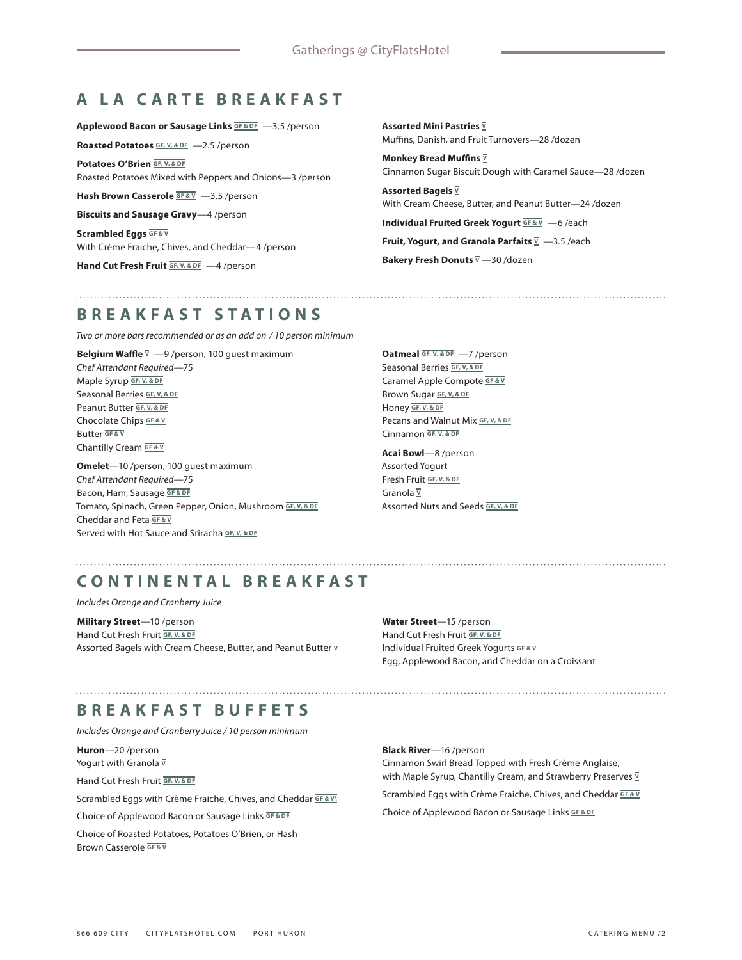# **A LA CARTE BREAKFAST**

**Applewood Bacon or Sausage Links GF & DF** —3.5 /person

**Roasted Potatoes GF, V, & DF** -2.5 /person

**Potatoes O'Brien GF, V, & DF** Roasted Potatoes Mixed with Peppers and Onions—3 /person

**Hash Brown Casserole GF&V** -3.5 /person

**Biscuits and Sausage Gravy**—4 /person

**Scrambled Eggs** GF & V With Crème Fraiche, Chives, and Cheddar—4 /person

Hand Cut Fresh Fruit **GF, V, & DF** -4 /person

**Assorted Mini Pastries <sup>V</sup>** Muffins, Danish, and Fruit Turnovers—28 /dozen

**Monkey Bread Muffins <sup>V</sup>** Cinnamon Sugar Biscuit Dough with Caramel Sauce—28 /dozen

**Assorted Bagels V** With Cream Cheese, Butter, and Peanut Butter—24 /dozen

**Individual Fruited Greek Yogurt <b>GF & V** — 6 /each **Fruit, Yogurt, and Granola Parfaits**  $\overline{Y}$  -3.5/each

**Bakery Fresh Donuts**  $\overline{y}$  -30 /dozen

# **BREAKFAST STATIONS**

*Two or more bars recommended or as an add on / 10 person minimum*

**Belgium Waffle**  $\overline{Y}$   $-9$  /person, 100 guest maximum *Chef Attendant Required*—75 Maple Syrup **GF, V, & DF** Seasonal Berries **GF, V, & DF** Peanut Butter **GF, V, & DF** Chocolate Chips **GF & V** Butter **GF & V** Chantilly Cream **GF & V**

**Omelet**—10 /person, 100 guest maximum *Chef Attendant Required*—75 Bacon, Ham, Sausage **GF & DF** Tomato, Spinach, Green Pepper, Onion, Mushroom **GF, V, & DF** Cheddar and Feta **GF & V** Served with Hot Sauce and Sriracha **GF, V, & DF**

**Oatmeal GF, V, & DF** —7 /person Seasonal Berries **GF, V, & DF** Caramel Apple Compote **GF & V** Brown Sugar **GF, V, & DF** Honey **GF, V, & DF** Pecans and Walnut Mix **GF, V, & DF** Cinnamon **GF, V, & DF**

**Acai Bowl**—8 /person Assorted Yogurt Fresh Fruit **GF, V, & DF** Granola **<sup>V</sup>** Assorted Nuts and Seeds **GF, V, & DF**

# **CONTINENTAL BREAKFAST**

*Includes Orange and Cranberry Juice*

**Military Street**—10 /person Hand Cut Fresh Fruit **GF, V, & DF** Assorted Bagels with Cream Cheese, Butter, and Peanut Butter **<sup>V</sup>**

**Water Street**—15 /person Hand Cut Fresh Fruit **GF, V, & DF** Individual Fruited Greek Yogurts **GF & V** Egg, Applewood Bacon, and Cheddar on a Croissant

# **BREAKFAST BUFFETS**

*Includes Orange and Cranberry Juice / 10 person minimum*

**Huron**—20 /person Yogurt with Granola  $\overline{v}$ 

Hand Cut Fresh Fruit **GF, V, & DF**

Scrambled Eggs with Crème Fraiche, Chives, and Cheddar **GF & V\**

Choice of Applewood Bacon or Sausage Links **GF & DF**

Choice of Roasted Potatoes, Potatoes O'Brien, or Hash Brown Casserole **GF & V**

**Black River**—16 /person Cinnamon Swirl Bread Topped with Fresh Crème Anglaise, with Maple Syrup, Chantilly Cream, and Strawberry Preserves **<sup>V</sup>** Scrambled Eggs with Crème Fraiche, Chives, and Cheddar **GF & V** Choice of Applewood Bacon or Sausage Links **GF & DF**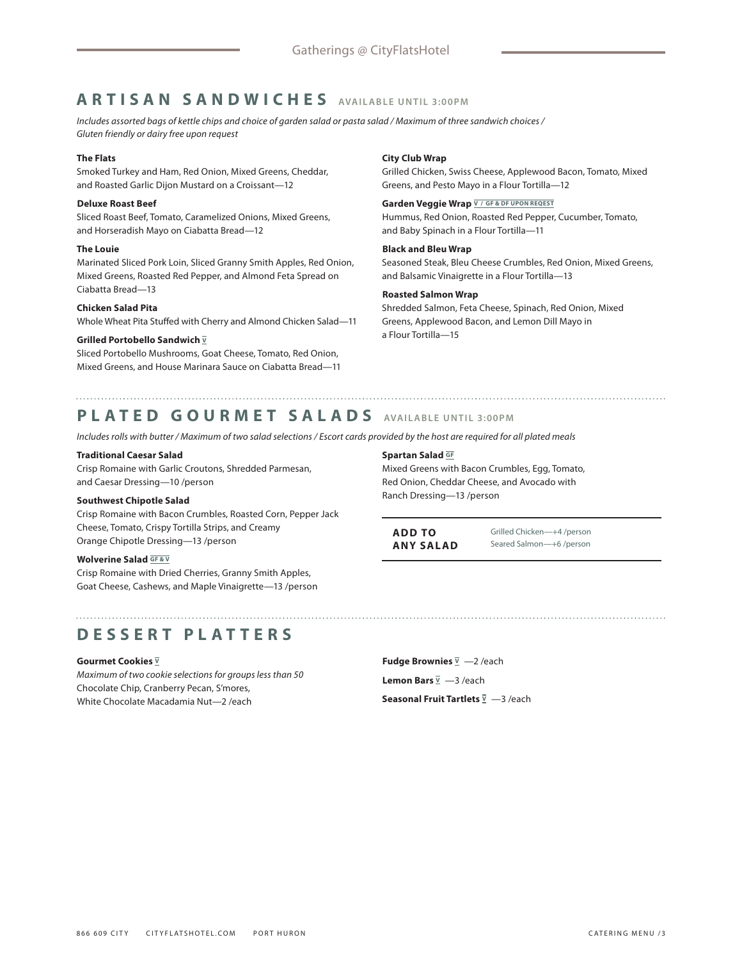# **ARTISAN SANDWICHES AVAILABLE UNTIL 3:00PM**

*Includes assorted bags of kettle chips and choice of garden salad or pasta salad / Maximum of three sandwich choices / Gluten friendly or dairy free upon request*

### **The Flats**

Smoked Turkey and Ham, Red Onion, Mixed Greens, Cheddar, and Roasted Garlic Dijon Mustard on a Croissant—12

### **Deluxe Roast Beef**

Sliced Roast Beef, Tomato, Caramelized Onions, Mixed Greens, and Horseradish Mayo on Ciabatta Bread—12

### **The Louie**

Marinated Sliced Pork Loin, Sliced Granny Smith Apples, Red Onion, Mixed Greens, Roasted Red Pepper, and Almond Feta Spread on Ciabatta Bread—13

### **Chicken Salad Pita**

Whole Wheat Pita Stuffed with Cherry and Almond Chicken Salad—11

### **Grilled Portobello Sandwich V**

Sliced Portobello Mushrooms, Goat Cheese, Tomato, Red Onion, Mixed Greens, and House Marinara Sauce on Ciabatta Bread—11

### **City Club Wrap**

Grilled Chicken, Swiss Cheese, Applewood Bacon, Tomato, Mixed Greens, and Pesto Mayo in a Flour Tortilla—12

### Garden Veggie Wrap **V/GF & DF UPON REQEST**

Hummus, Red Onion, Roasted Red Pepper, Cucumber, Tomato, and Baby Spinach in a Flour Tortilla—11

### **Black and Bleu Wrap**

Seasoned Steak, Bleu Cheese Crumbles, Red Onion, Mixed Greens, and Balsamic Vinaigrette in a Flour Tortilla—13

### **Roasted Salmon Wrap**

Shredded Salmon, Feta Cheese, Spinach, Red Onion, Mixed Greens, Applewood Bacon, and Lemon Dill Mayo in a Flour Tortilla—15

# **PLATED GOURMET SALADS AVAILABLE UNTIL 3:00PM**

*Includes rolls with butter / Maximum of two salad selections / Escort cards provided by the host are required for all plated meals*

### **Traditional Caesar Salad**

Crisp Romaine with Garlic Croutons, Shredded Parmesan, and Caesar Dressing—10 /person

### **Southwest Chipotle Salad**

Crisp Romaine with Bacon Crumbles, Roasted Corn, Pepper Jack Cheese, Tomato, Crispy Tortilla Strips, and Creamy Orange Chipotle Dressing—13 /person

### **Wolverine Salad GF & V**

Crisp Romaine with Dried Cherries, Granny Smith Apples, Goat Cheese, Cashews, and Maple Vinaigrette—13 /person

# **DESSERT PLATTERS**

### **Gourmet Cookies V**

*Maximum of two cookie selections for groups less than 50* Chocolate Chip, Cranberry Pecan, S'mores, White Chocolate Macadamia Nut—2 /each

**Spartan Salad GF**

Mixed Greens with Bacon Crumbles, Egg, Tomato, Red Onion, Cheddar Cheese, and Avocado with Ranch Dressing—13 /person

**ADD TO ANY SALAD** Grilled Chicken—+4 /person Seared Salmon—+6 /person

**Fudge Brownies <sup>V</sup>** —2 /each Lemon Bars  $\overline{y}$  -3 /each **Seasonal Fruit Tartlets**  $\overline{y}$  -3/each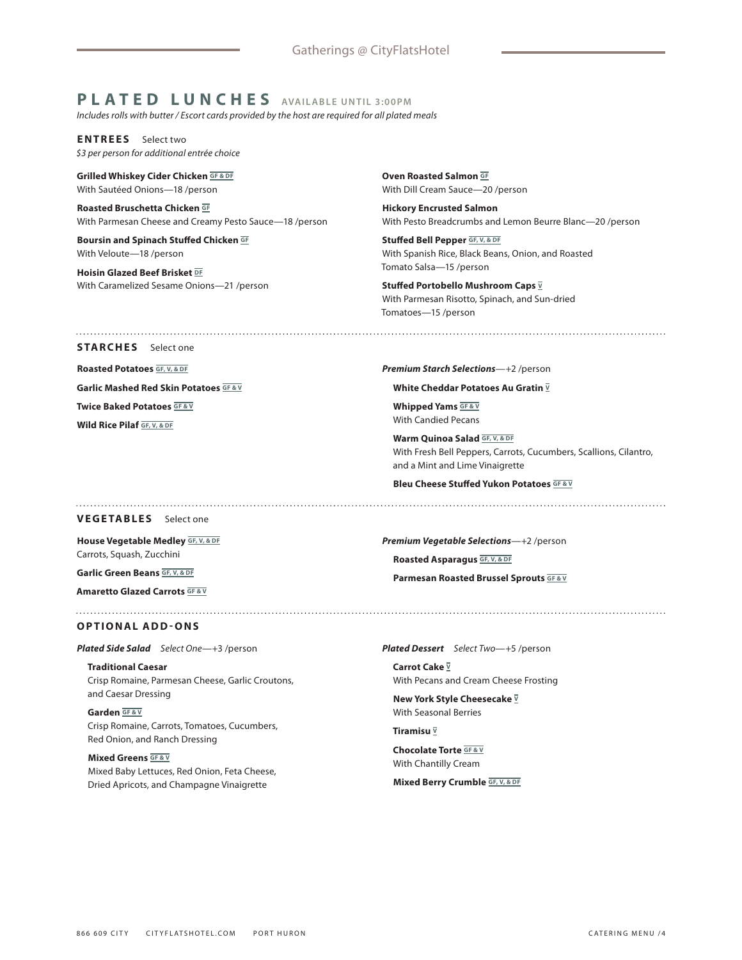# **PLATED LUNCHES AVAILABLE UNTIL 3:00PM**

*Includes rolls with butter / Escort cards provided by the host are required for all plated meals*

**ENTREES** Select two *\$3 per person for additional entrée choice*

**Grilled Whiskey Cider Chicken GF & DF** With Sautéed Onions—18 /person

**Roasted Bruschetta Chicken GF** With Parmesan Cheese and Creamy Pesto Sauce—18 /person

**Boursin and Spinach Stuffed Chicken GF** With Veloute—18 /person

**Hoisin Glazed Beef Brisket DF** With Caramelized Sesame Onions—21 /person **Oven Roasted Salmon GF** With Dill Cream Sauce—20 /person

**Hickory Encrusted Salmon** With Pesto Breadcrumbs and Lemon Beurre Blanc—20 /person

**Stuffed Bell Pepper GF, V, & DF** With Spanish Rice, Black Beans, Onion, and Roasted Tomato Salsa—15 /person

Stuffed Portobello Mushroom Caps  $\overline{y}$ With Parmesan Risotto, Spinach, and Sun-dried Tomatoes—15 /person

### **STARCHES** Select one

**Roasted Potatoes GF, V, & DF**

**Garlic Mashed Red Skin Potatoes GF & V**

**Twice Baked Potatoes <b>GF & V** 

**Wild Rice Pilaf GF, V, & DF**

*Premium Starch Selections*—+2 /person

**White Cheddar Potatoes Au Gratin**  $\overline{V}$ 

**Whipped Yams GF & V** With Candied Pecans

**Warm Quinoa Salad GF, V, & DF** With Fresh Bell Peppers, Carrots, Cucumbers, Scallions, Cilantro, and a Mint and Lime Vinaigrette

**Bleu Cheese Stuffed Yukon Potatoes GF & V**

*Premium Vegetable Selections*—+2 /person

**Roasted Asparagus GF, V, & DF**

### **VEGETABLES** Select one

**House Vegetable Medley GF, V, & DF** Carrots, Squash, Zucchini

**Garlic Green Beans GF, V, & DF**

**Amaretto Glazed Carrots GF & V**

**Parmesan Roasted Brussel Sprouts GF & V**

**OPTIONAL ADD-ONS**

*Plated Side Salad Select One*—+3 /person

**Traditional Caesar** Crisp Romaine, Parmesan Cheese, Garlic Croutons, and Caesar Dressing

**Garden GF & V** Crisp Romaine, Carrots, Tomatoes, Cucumbers, Red Onion, and Ranch Dressing

**Mixed Greens GF&V** Mixed Baby Lettuces, Red Onion, Feta Cheese, Dried Apricots, and Champagne Vinaigrette

*Plated Dessert Select Two*—+5 /person

**Carrot Cake V** With Pecans and Cream Cheese Frosting

**New York Style Cheesecake**  $\overline{V}$ With Seasonal Berries

**Tiramisu V**

**Chocolate Torte GF & V** With Chantilly Cream

**Mixed Berry Crumble GF, V, & DF**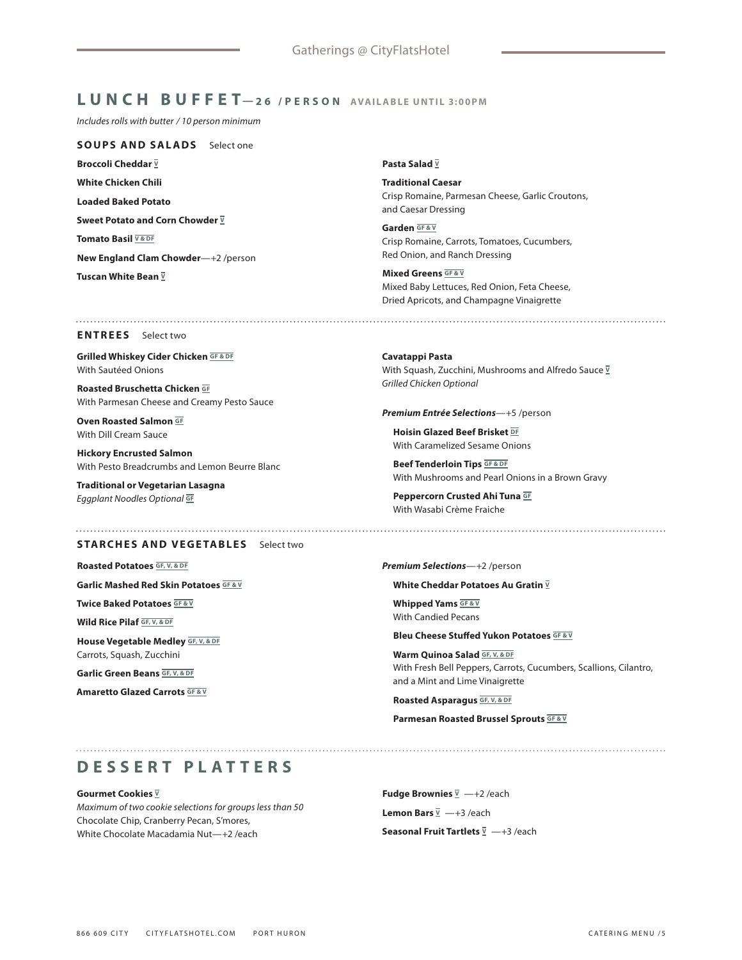# **LUNCH BUFFET—26 /PERSON AVAILABLE UNTIL 3:00PM**

*Includes rolls with butter / 10 person minimum*

**SOUPS AND SALADS** Select one **Broccoli Cheddar**  $\bar{v}$ **White Chicken Chili Loaded Baked Potato** Sweet Potato and Corn Chowder  $\overline{V}$ **Tomato Basil V& DF New England Clam Chowder**—+2 /person **Tuscan White Bean V**

### **Pasta Salad V**

**Traditional Caesar** Crisp Romaine, Parmesan Cheese, Garlic Croutons, and Caesar Dressing

**Garden GF & V** Crisp Romaine, Carrots, Tomatoes, Cucumbers, Red Onion, and Ranch Dressing

**Mixed Greens GF&V** Mixed Baby Lettuces, Red Onion, Feta Cheese, Dried Apricots, and Champagne Vinaigrette

### **ENTREES** Select two

**Grilled Whiskey Cider Chicken GF&DF** With Sautéed Onions

**Roasted Bruschetta Chicken GF** With Parmesan Cheese and Creamy Pesto Sauce

**Oven Roasted Salmon GF** With Dill Cream Sauce

**Hickory Encrusted Salmon** With Pesto Breadcrumbs and Lemon Beurre Blanc

**Traditional or Vegetarian Lasagna** *Eggplant Noodles Optional* **GF**

### **STARCHES AND VEGETABLES** Select two

**Roasted Potatoes GF, V, & DF**

**Garlic Mashed Red Skin Potatoes GF&V** 

**Twice Baked Potatoes GF & V**

**Wild Rice Pilaf GF, V, & DF**

**House Vegetable Medley GF, V, & DF** Carrots, Squash, Zucchini

**Garlic Green Beans GF, V, & DF**

**Amaretto Glazed Carrots GF & V**

**Cavatappi Pasta** With Squash, Zucchini, Mushrooms and Alfredo Sauce **<sup>V</sup>** *Grilled Chicken Optional* 

*Premium Entrée Selections*—+5 /person

**Hoisin Glazed Beef Brisket DF** With Caramelized Sesame Onions

**Beef Tenderloin Tips GF & DF** With Mushrooms and Pearl Onions in a Brown Gravy

**Peppercorn Crusted Ahi Tuna GF** With Wasabi Crème Fraiche

### *Premium Selections*—+2 /person

**White Cheddar Potatoes Au Gratin**  $\overline{V}$ 

**Whipped Yams GF & V** With Candied Pecans

**Bleu Cheese Stuffed Yukon Potatoes GF & V**

**Warm Quinoa Salad GF, V, & DF** With Fresh Bell Peppers, Carrots, Cucumbers, Scallions, Cilantro, and a Mint and Lime Vinaigrette

**Roasted Asparagus GF, V, & DF**

**Parmesan Roasted Brussel Sprouts GF & V**

# **DESSERT PLATTERS**

**Gourmet Cookies**  $\overline{v}$ 

*Maximum of two cookie selections for groups less than 50* Chocolate Chip, Cranberry Pecan, S'mores, White Chocolate Macadamia Nut—+2 /each

**Fudge Brownies**  $\overline{V}$  —+2 /each Lemon Bars  $\overline{v}$  -+3 /each **Seasonal Fruit Tartlets <sup>V</sup>** —+3 /each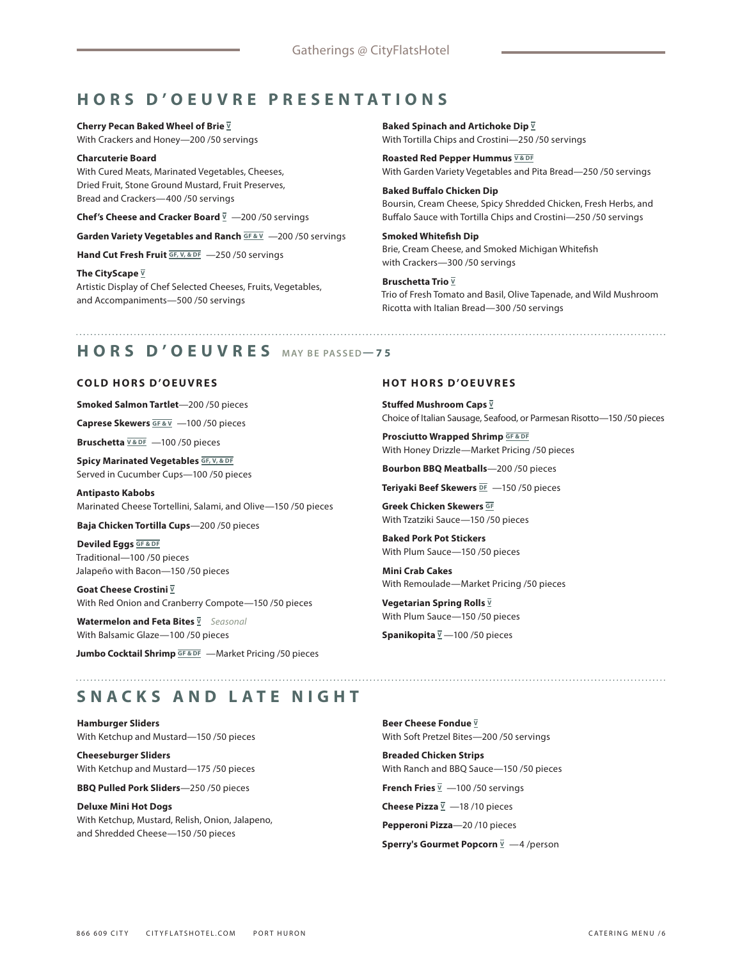# **HORS D'OEUVRE PRESENTATIONS**

**Cherry Pecan Baked Wheel of Brie**  $\overline{y}$ With Crackers and Honey—200 /50 servings

**Charcuterie Board** With Cured Meats, Marinated Vegetables, Cheeses, Dried Fruit, Stone Ground Mustard, Fruit Preserves, Bread and Crackers—400 /50 servings

**Chef's Cheese and Cracker Board** <u>V</u> −200/50 servings

**Garden Variety Vegetables and Ranch <b>GF & V** -200 /50 servings

Hand Cut Fresh Fruit **GF, V, & DF** -250 /50 servings

**The CityScape <sup>V</sup>** Artistic Display of Chef Selected Cheeses, Fruits, Vegetables, and Accompaniments—500 /50 servings

**Baked Spinach and Artichoke Dip**  $\overline{y}$ With Tortilla Chips and Crostini—250 /50 servings

**Roasted Red Pepper Hummus V&DF** With Garden Variety Vegetables and Pita Bread—250 /50 servings

**Baked Buffalo Chicken Dip** Boursin, Cream Cheese, Spicy Shredded Chicken, Fresh Herbs, and Buffalo Sauce with Tortilla Chips and Crostini—250 /50 servings

**Smoked Whitefish Dip** Brie, Cream Cheese, and Smoked Michigan Whitefish with Crackers—300 /50 servings

**Bruschetta Trio**  $\overline{v}$ Trio of Fresh Tomato and Basil, Olive Tapenade, and Wild Mushroom Ricotta with Italian Bread—300 /50 servings

# **HORS D'OEUVRES MAY BE PASSED—75**

### **COLD HORS D'OEUVRES**

**Smoked Salmon Tartlet**—200 /50 pieces

**Caprese Skewers GF & V** —100 /50 pieces

**Bruschetta**  $\overline{V$ <sup>& DF</sup> -100/50 pieces</sub>

**Spicy Marinated Vegetables GF, V, & DF** Served in Cucumber Cups—100 /50 pieces

**Antipasto Kabobs** Marinated Cheese Tortellini, Salami, and Olive—150 /50 pieces

**Baja Chicken Tortilla Cups**—200 /50 pieces

**Deviled Eggs** GF & DF Traditional—100 /50 pieces Jalapeño with Bacon—150 /50 pieces

**Goat Cheese Crostini V** With Red Onion and Cranberry Compote—150 /50 pieces

**Watermelon and Feta Bites V** *Seasonal* With Balsamic Glaze—100 /50 pieces

**Jumbo Cocktail Shrimp GF & DF** —Market Pricing /50 pieces

### **HOT HORS D'OEUVRES**

**Stuffed Mushroom Caps V** Choice of Italian Sausage, Seafood, or Parmesan Risotto—150 /50 pieces

**Prosciutto Wrapped Shrimp GF & DF** With Honey Drizzle—Market Pricing /50 pieces

**Bourbon BBQ Meatballs**—200 /50 pieces

**Teriyaki Beef Skewers <b>DE** -150 /50 pieces

**Greek Chicken Skewers GF** With Tzatziki Sauce—150 /50 pieces

**Baked Pork Pot Stickers** With Plum Sauce—150 /50 pieces

**Mini Crab Cakes** With Remoulade—Market Pricing /50 pieces

**Vegetarian Spring Rolls V** With Plum Sauce—150 /50 pieces

**Spanikopita**  $\overline{v}$  –100/50 pieces

# **SNACKS AND LATE NIGHT**

**Hamburger Sliders** With Ketchup and Mustard—150 /50 pieces

**Cheeseburger Sliders** With Ketchup and Mustard—175 /50 pieces

**BBQ Pulled Pork Sliders**—250 /50 pieces

**Deluxe Mini Hot Dogs** With Ketchup, Mustard, Relish, Onion, Jalapeno, and Shredded Cheese—150 /50 pieces

**Beer Cheese Fondue**  $\overline{V}$ With Soft Pretzel Bites—200 /50 servings

**Breaded Chicken Strips** With Ranch and BBQ Sauce—150 /50 pieces

**French Fries**  $\overline{v}$  -100 /50 servings

**Cheese Pizza** <u>V</u> −18/10 pieces

**Pepperoni Pizza**—20 /10 pieces

**Sperry's Gourmet Popcorn**  $\overline{y}$  -4/person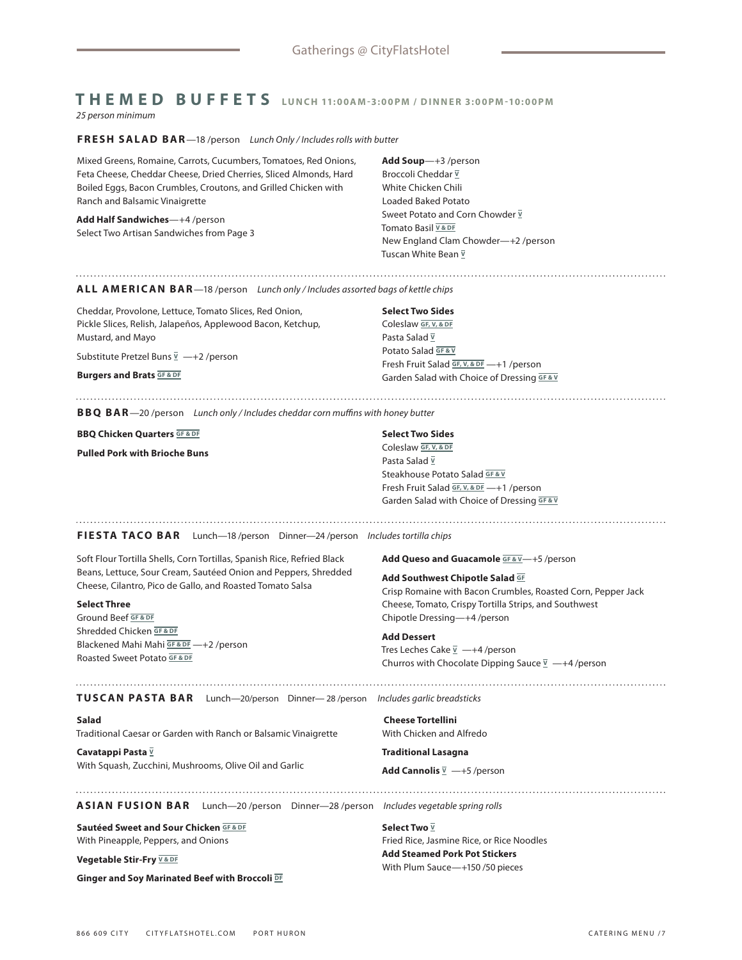### **THEMED BUFFETS** LUNCH 11:00AM-3:00PM / DINNER 3:00PM-10:00PM *25 person minimum*

### **FRESH SALAD BAR**—18 /person *Lunch Only / Includes rolls with butter*

Mixed Greens, Romaine, Carrots, Cucumbers, Tomatoes, Red Onions, Feta Cheese, Cheddar Cheese, Dried Cherries, Sliced Almonds, Hard Boiled Eggs, Bacon Crumbles, Croutons, and Grilled Chicken with Ranch and Balsamic Vinaigrette

**Add Half Sandwiches**—+4 /person Select Two Artisan Sandwiches from Page 3 **Add Soup**—+3 /person Broccoli Cheddar **<sup>V</sup>** White Chicken Chili Loaded Baked Potato Sweet Potato and Corn Chowder  $\overline{Y}$ Tomato Basil **V & DF** New England Clam Chowder—+2 /person Tuscan White Bean **<sup>V</sup>**

### **ALL AMERICAN BAR**—18 /person *Lunch only / Includes assorted bags of kettle chips*

Cheddar, Provolone, Lettuce, Tomato Slices, Red Onion, Pickle Slices, Relish, Jalapeños, Applewood Bacon, Ketchup, Mustard, and Mayo

Substitute Pretzel Buns <u>↓</u> —+2 /person

**Burgers and Brats GF & DF**

**Select Two Sides**

Coleslaw **GF, V, & DF** Pasta Salad **<sup>V</sup>** Potato Salad **GF & V** Fresh Fruit Salad **GF, V, & DF** —+1 /person Garden Salad with Choice of Dressing **GF & V**

**BBQ BAR**—20 /person *Lunch only / Includes cheddar corn muffins with honey butter*

**BBQ Chicken Quarters GF & DF** 

**Pulled Pork with Brioche Buns** 

### **Select Two Sides**

Coleslaw **GF, V, & DF** Pasta Salad **<sup>V</sup>** Steakhouse Potato Salad **GF & V** Fresh Fruit Salad **GF, V, & DF** —+1 /person Garden Salad with Choice of Dressing **GF & V**

**FIESTA TACO BAR** Lunch—18 /person Dinner—24 /person *Includes tortilla chips*

Soft Flour Tortilla Shells, Corn Tortillas, Spanish Rice, Refried Black Beans, Lettuce, Sour Cream, Sautéed Onion and Peppers, Shredded Cheese, Cilantro, Pico de Gallo, and Roasted Tomato Salsa

### **Select Three**

Ground Beef **GF & DF** Shredded Chicken **GF & DF** Blackened Mahi Mahi **GF & DF** —+2 /person Roasted Sweet Potato **GF & DF**

Add Queso and Guacamole **GF&V**—+5 /person

**Add Southwest Chipotle Salad GF**

Crisp Romaine with Bacon Crumbles, Roasted Corn, Pepper Jack Cheese, Tomato, Crispy Tortilla Strips, and Southwest Chipotle Dressing—+4 /person

**Add Dessert** Tres Leches Cake **<sup>V</sup>** —+4 /person Churros with Chocolate Dipping Sauce **<sup>V</sup>** —+4 /person

**TUSCAN PASTA BAR** Lunch—20/person Dinner— 28 /person *Includes garlic breadsticks*

**Salad** Traditional Caesar or Garden with Ranch or Balsamic Vinaigrette

**Cavatappi Pasta**  $\overline{v}$ With Squash, Zucchini, Mushrooms, Olive Oil and Garlic **Cheese Tortellini** With Chicken and Alfredo

**Traditional Lasagna**

**Add Cannolis**  $\overline{V}$  —+5 /person

**ASIAN FUSION BAR** Lunch—20 /person Dinner—28 /person *Includes vegetable spring rolls*

**Sautéed Sweet and Sour Chicken GF & DF** With Pineapple, Peppers, and Onions

**Vegetable Stir-Fry V&DF** 

**Ginger and Soy Marinated Beef with Broccoli DF**

**Select Two**  $\bar{V}$ Fried Rice, Jasmine Rice, or Rice Noodles **Add Steamed Pork Pot Stickers** With Plum Sauce—+150 /50 pieces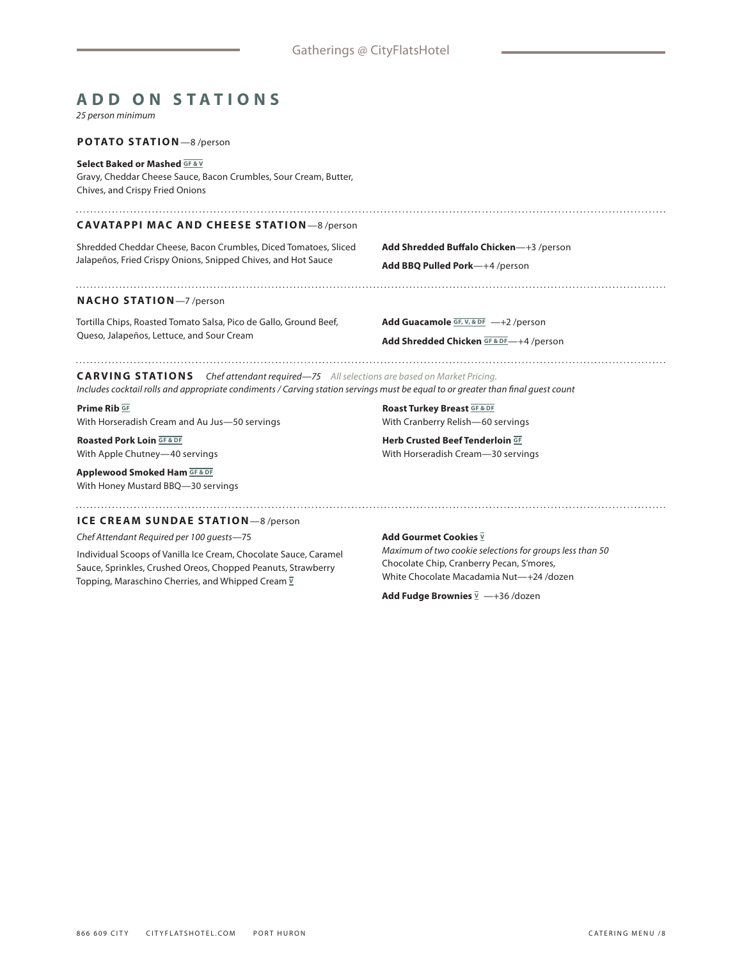# **ADD ON STATIONS**

*25 person minimum*

### **POTATO STATION**—8 /person

### **Select Baked or Mashed GF & V**

Gravy, Cheddar Cheese Sauce, Bacon Crumbles, Sour Cream, Butter, Chives, and Crispy Fried Onions

### **CAVATAPPI MAC AND CHEESE STATION**—8 /person

Shredded Cheddar Cheese, Bacon Crumbles, Diced Tomatoes, Sliced Jalapeños, Fried Crispy Onions, Snipped Chives, and Hot Sauce

**Add Shredded Buffalo Chicken**—+3 /person **Add BBQ Pulled Pork**—+4 /person

### **NACHO STATION**—7 /person

Tortilla Chips, Roasted Tomato Salsa, Pico de Gallo, Ground Beef, Queso, Jalapeños, Lettuce, and Sour Cream

**Add Guacamole GF, V, & DF** —+2 /person

### **Add Shredded Chicken GF & DF**—+4 /person

### 

**CARVING STATIONS** *Chef attendant required—75 All selections are based on Market Pricing. Includes cocktail rolls and appropriate condiments / Carving station servings must be equal to or greater than final guest count* 

**Prime Rib GF** With Horseradish Cream and Au Jus—50 servings

**Roasted Pork Loin GF & DF** With Apple Chutney—40 servings

**Applewood Smoked Ham GF & DF** With Honey Mustard BBQ—30 servings

**Roast Turkey Breast GF & DF** With Cranberry Relish—60 servings

**Herb Crusted Beef Tenderloin GF** With Horseradish Cream—30 servings

### **ICE CREAM SUNDAE STATION**—8 /person

*Chef Attendant Required per 100 guests*—75

Individual Scoops of Vanilla Ice Cream, Chocolate Sauce, Caramel Sauce, Sprinkles, Crushed Oreos, Chopped Peanuts, Strawberry Topping, Maraschino Cherries, and Whipped Cream  $\overline{y}$ 

### **Add Gourmet Cookies**  $\overline{V}$

*Maximum of two cookie selections for groups less than 50*  Chocolate Chip, Cranberry Pecan, S'mores, White Chocolate Macadamia Nut—+24 /dozen

**Add Fudge Brownies** <u>V</u> −+36 /dozen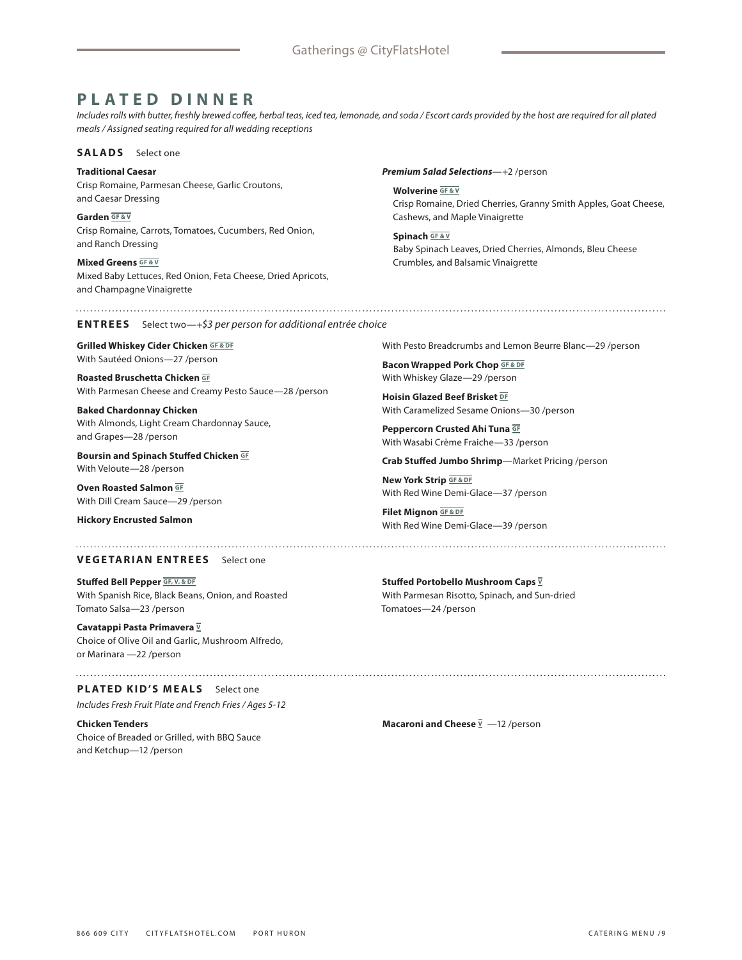# **PLATED DINNER**

*Includes rolls with butter, freshly brewed coffee, herbal teas, iced tea, lemonade, and soda / Escort cards provided by the host are required for all plated meals / Assigned seating required for all wedding receptions*

### **SALADS** Select one

**Traditional Caesar** Crisp Romaine, Parmesan Cheese, Garlic Croutons, and Caesar Dressing

**Garden GF & V** Crisp Romaine, Carrots, Tomatoes, Cucumbers, Red Onion, and Ranch Dressing

**Mixed Greens GF&V** Mixed Baby Lettuces, Red Onion, Feta Cheese, Dried Apricots, and Champagne Vinaigrette

### *Premium Salad Selections*—+2 /person

**Wolverine GF & V**

Crisp Romaine, Dried Cherries, Granny Smith Apples, Goat Cheese, Cashews, and Maple Vinaigrette

**Spinach GF & V** Baby Spinach Leaves, Dried Cherries, Almonds, Bleu Cheese Crumbles, and Balsamic Vinaigrette

### **ENTREES** Select two—+*\$3 per person for additional entrée choice*

**Grilled Whiskey Cider Chicken GF&DF** With Sautéed Onions—27 /person

**Roasted Bruschetta Chicken GF** With Parmesan Cheese and Creamy Pesto Sauce—28 /person

**Baked Chardonnay Chicken** With Almonds, Light Cream Chardonnay Sauce, and Grapes—28 /person

**Boursin and Spinach Stuffed Chicken GF** With Veloute—28 /person

**Oven Roasted Salmon GF** With Dill Cream Sauce—29 /person

**Hickory Encrusted Salmon**

## **VEGETARIAN ENTREES** Select one

**Stuffed Bell Pepper GF, V, & DF** With Spanish Rice, Black Beans, Onion, and Roasted Tomato Salsa—23 /person

**Cavatappi Pasta Primavera <sup>V</sup>** Choice of Olive Oil and Garlic, Mushroom Alfredo, or Marinara —22 /person

### **PLATED KID'S MEALS** Select one *Includes Fresh Fruit Plate and French Fries / Ages 5-12*

**Chicken Tenders** Choice of Breaded or Grilled, with BBQ Sauce and Ketchup—12 /person

With Pesto Breadcrumbs and Lemon Beurre Blanc—29 /person

**Bacon Wrapped Pork Chop GF & DF** With Whiskey Glaze—29 /person

**Hoisin Glazed Beef Brisket DF** With Caramelized Sesame Onions—30 /person

**Peppercorn Crusted Ahi Tuna GF** With Wasabi Crème Fraiche—33 /person

**Crab Stuffed Jumbo Shrimp**—Market Pricing /person

**New York Strip GF & DF** With Red Wine Demi-Glace—37 /person

**Filet Mignon GF & DF** With Red Wine Demi-Glace—39 /person

**Stuffed Portobello Mushroom Caps V** With Parmesan Risotto, Spinach, and Sun-dried Tomatoes—24 /person

**Macaroni and Cheese**  $\overline{y}$  -12 /person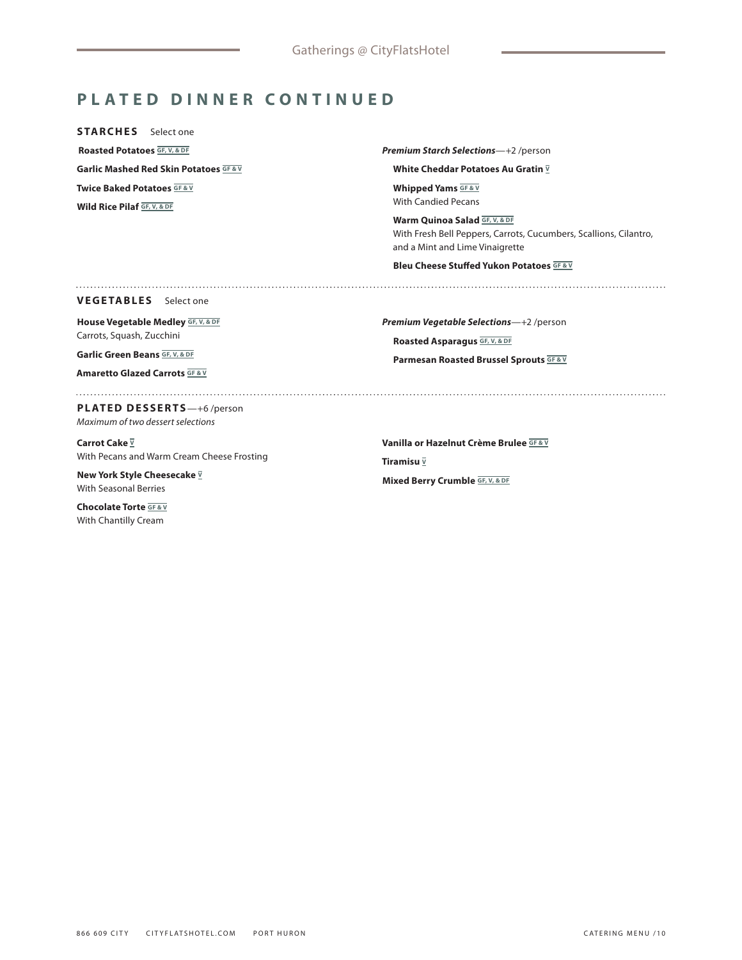# **PLATED DINNER CONTINUED**

**STARCHES** Select one  **Roasted Potatoes GF, V, & DF Garlic Mashed Red Skin Potatoes <b>GF&V Twice Baked Potatoes GF&V** 

**Wild Rice Pilaf GF, V, & DF**

*Premium Starch Selections*—+2 /person

**White Cheddar Potatoes Au Gratin**  $\overline{V}$ 

**Whipped Yams** GF&V With Candied Pecans

**Warm Quinoa Salad GF, V, & DF** With Fresh Bell Peppers, Carrots, Cucumbers, Scallions, Cilantro, and a Mint and Lime Vinaigrette

**Bleu Cheese Stuffed Yukon Potatoes GF & V**

**VEGETABLES** Select one

**House Vegetable Medley GF, V, & DF** Carrots, Squash, Zucchini

**Garlic Green Beans GF, V, & DF**

**Amaretto Glazed Carrots GF&V** 

*Premium Vegetable Selections*—+2 /person **Roasted Asparagus GF, V, & DF Parmesan Roasted Brussel Sprouts <b>GF & V** 

**PLATED DESSERTS**—+6 /person *Maximum of two dessert selections*

**Carrot Cake**  $\bar{v}$ With Pecans and Warm Cream Cheese Frosting

**New York Style Cheesecake**  $\overline{Y}$ With Seasonal Berries

**Chocolate Torte <b>GF & V** With Chantilly Cream

**Vanilla or Hazelnut Crème Brulee GF & V Tiramisu V Mixed Berry Crumble GF, V, & DF**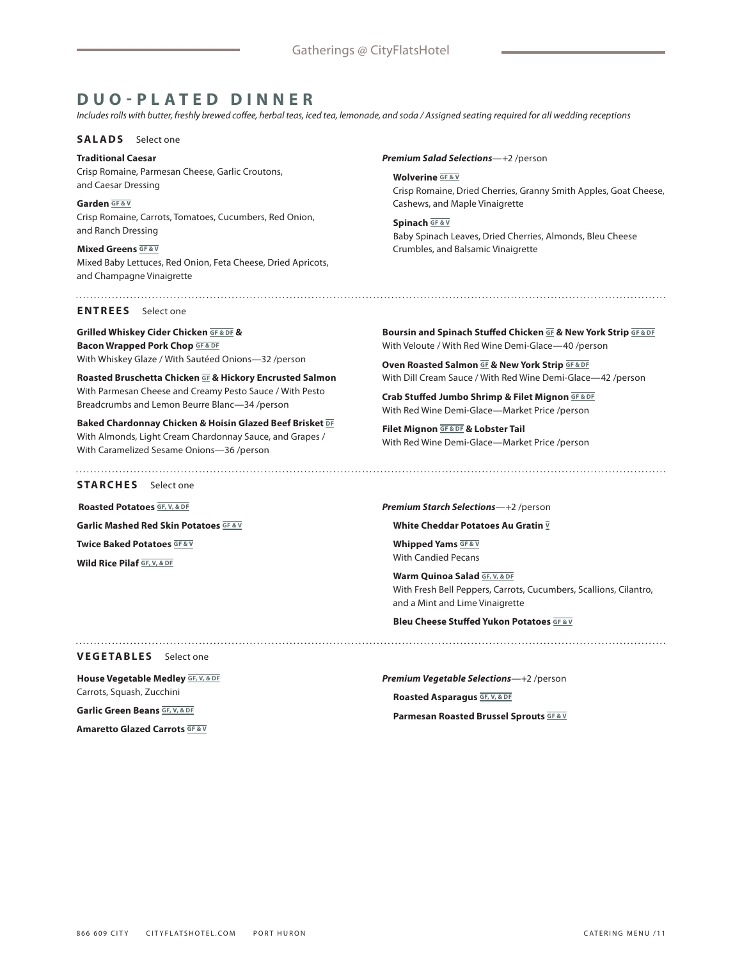# **DUO-PLATED DINNER**

*Includes rolls with butter, freshly brewed coffee, herbal teas, iced tea, lemonade, and soda / Assigned seating required for all wedding receptions*

### **SALADS** Select one

**Traditional Caesar** Crisp Romaine, Parmesan Cheese, Garlic Croutons, and Caesar Dressing

**Garden GF & V** Crisp Romaine, Carrots, Tomatoes, Cucumbers, Red Onion, and Ranch Dressing

**Mixed Greens GF&V** Mixed Baby Lettuces, Red Onion, Feta Cheese, Dried Apricots, and Champagne Vinaigrette

**ENTREES** Select one

**Grilled Whiskey Cider Chicken GF & DF & Bacon Wrapped Pork Chop GF & DF** With Whiskey Glaze / With Sautéed Onions—32 /person

**Roasted Bruschetta Chicken GF & Hickory Encrusted Salmon** With Parmesan Cheese and Creamy Pesto Sauce / With Pesto Breadcrumbs and Lemon Beurre Blanc—34 /person

**Baked Chardonnay Chicken & Hoisin Glazed Beef Brisket DF** With Almonds, Light Cream Chardonnay Sauce, and Grapes / With Caramelized Sesame Onions—36 /person

**STARCHES** Select one

 **Roasted Potatoes GF, V, & DF**

**Garlic Mashed Red Skin Potatoes GF & V**

**Twice Baked Potatoes GF & V**

**Wild Rice Pilaf GF, V, & DF**

*Premium Salad Selections*—+2 /person

**Wolverine GF & V** Crisp Romaine, Dried Cherries, Granny Smith Apples, Goat Cheese, Cashews, and Maple Vinaigrette

**Spinach GF & V** Baby Spinach Leaves, Dried Cherries, Almonds, Bleu Cheese Crumbles, and Balsamic Vinaigrette

**Boursin and Spinach Stuffed Chicken GF & New York Strip GF & DF** With Veloute / With Red Wine Demi-Glace—40 /person

**Oven Roasted Salmon GF & New York Strip GF & DF** With Dill Cream Sauce / With Red Wine Demi-Glace—42 /person

**Crab Stuffed Jumbo Shrimp & Filet Mignon GF & DF** With Red Wine Demi-Glace—Market Price /person

**Filet Mignon GF & DF & Lobster Tail** With Red Wine Demi-Glace—Market Price /person

*Premium Starch Selections*—+2 /person

**White Cheddar Potatoes Au Gratin**  $\overline{V}$ 

**Whipped Yams GF & V** With Candied Pecans

**Warm Quinoa Salad GF, V, & DF** With Fresh Bell Peppers, Carrots, Cucumbers, Scallions, Cilantro, and a Mint and Lime Vinaigrette

**Bleu Cheese Stuffed Yukon Potatoes GF & V**

**VEGETABLES** Select one

**House Vegetable Medley GF, V, & DF** Carrots, Squash, Zucchini

**Garlic Green Beans GF, V, & DF**

**Amaretto Glazed Carrots GF & V**

*Premium Vegetable Selections*—+2 /person **Roasted Asparagus GF, V, & DF Parmesan Roasted Brussel Sprouts GF & V**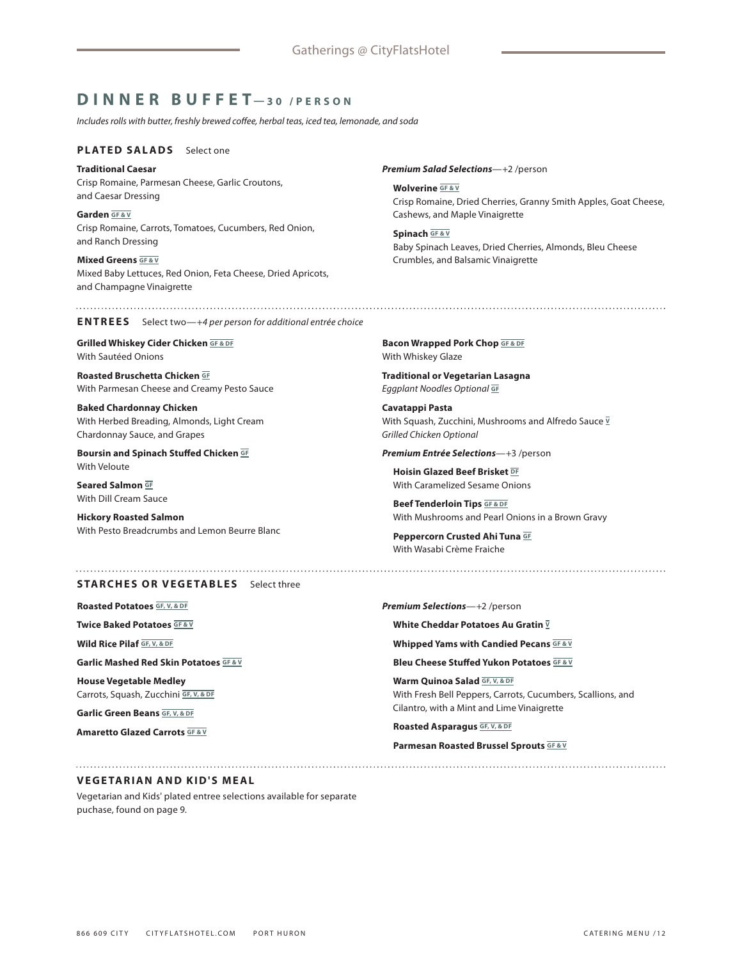# **DINNER BUFFET —30 /PERSON**

*Includes rolls with butter, freshly brewed coffee, herbal teas, iced tea, lemonade, and soda* 

### **PLATED SALADS** Select one

**Traditional Caesar** Crisp Romaine, Parmesan Cheese, Garlic Croutons, and Caesar Dressing

**Garden GF & V** Crisp Romaine, Carrots, Tomatoes, Cucumbers, Red Onion, and Ranch Dressing

**Mixed Greens GF&V** Mixed Baby Lettuces, Red Onion, Feta Cheese, Dried Apricots, and Champagne Vinaigrette

*Premium Salad Selections*—+2 /person

**Wolverine GF&V** Crisp Romaine, Dried Cherries, Granny Smith Apples, Goat Cheese, Cashews, and Maple Vinaigrette

**Spinach GF & V** Baby Spinach Leaves, Dried Cherries, Almonds, Bleu Cheese Crumbles, and Balsamic Vinaigrette

**ENTREES** Select two—*+4 per person for additional entrée choice*

**Grilled Whiskey Cider Chicken GF & DF** With Sautéed Onions

**Roasted Bruschetta Chicken GF** With Parmesan Cheese and Creamy Pesto Sauce

**Baked Chardonnay Chicken** With Herbed Breading, Almonds, Light Cream Chardonnay Sauce, and Grapes

**Boursin and Spinach Stuffed Chicken GF** With Veloute

**Seared Salmon GF** With Dill Cream Sauce

**Hickory Roasted Salmon** With Pesto Breadcrumbs and Lemon Beurre Blanc

**Bacon Wrapped Pork Chop GF & DF** With Whiskey Glaze

**Traditional or Vegetarian Lasagna** *Eggplant Noodles Optional* **GF**

**Cavatappi Pasta** With Squash, Zucchini, Mushrooms and Alfredo Sauce **<sup>V</sup>** *Grilled Chicken Optional* 

*Premium Entrée Selections*—+3 /person

**Hoisin Glazed Beef Brisket DF** With Caramelized Sesame Onions

**Beef Tenderloin Tips GF & DF** With Mushrooms and Pearl Onions in a Brown Gravy

**Peppercorn Crusted Ahi Tuna GF** With Wasabi Crème Fraiche

**STARCHES OR VEGETABLES** Select three

**Roasted Potatoes GF, V, & DF**

**Twice Baked Potatoes GF & V**

**Wild Rice Pilaf GF, V, & DF**

**Garlic Mashed Red Skin Potatoes GF & V**

**House Vegetable Medley** Carrots, Squash, Zucchini **GF, V, & DF**

**Garlic Green Beans GF, V, & DF**

**Amaretto Glazed Carrots GF&V** 

*Premium Selections*—+2 /person

**White Cheddar Potatoes Au Gratin V**

**Whipped Yams with Candied Pecans GF&V** 

**Bleu Cheese Stuffed Yukon Potatoes GF & V**

**Warm Quinoa Salad GF, V, & DF** With Fresh Bell Peppers, Carrots, Cucumbers, Scallions, and Cilantro, with a Mint and Lime Vinaigrette

**Roasted Asparagus GF, V, & DF**

**Parmesan Roasted Brussel Sprouts GF & V**

### **VEGETARIAN AND KID'S MEAL**

Vegetarian and Kids' plated entree selections available for separate puchase, found on page 9.